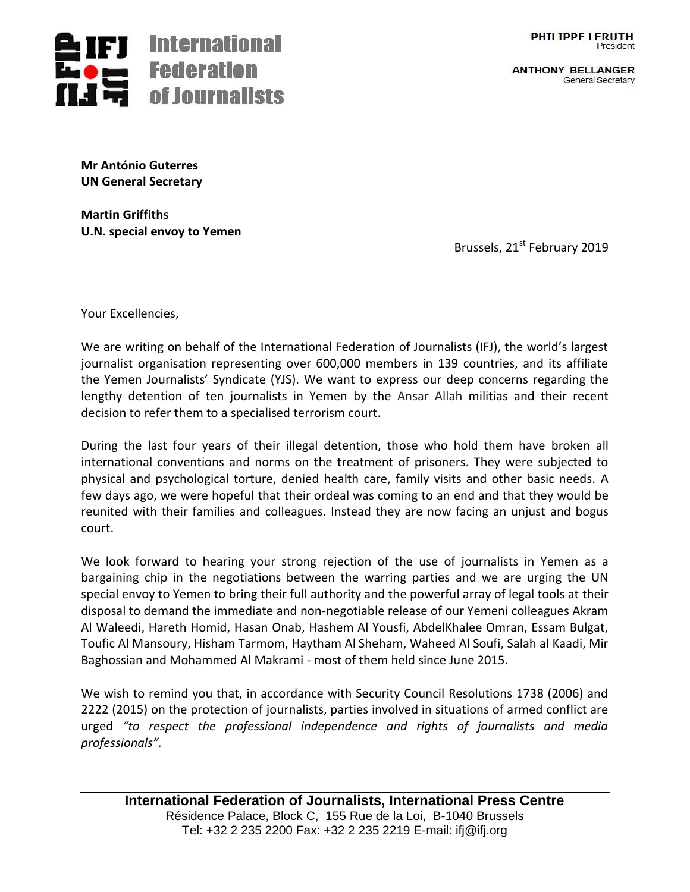

**ANTHONY BELLANGER** General Secretary



**Mr António Guterres UN General Secretary**

**Martin Griffiths U.N. special envoy to Yemen**

Brussels, 21<sup>st</sup> February 2019

Your Excellencies,

We are writing on behalf of the International Federation of Journalists (IFJ), the world's largest journalist organisation representing over 600,000 members in 139 countries, and its affiliate the Yemen Journalists' Syndicate (YJS). We want to express our deep concerns regarding the lengthy detention of ten journalists in Yemen by the Ansar Allah militias and their recent decision to refer them to a specialised terrorism court.

During the last four years of their illegal detention, those who hold them have broken all international conventions and norms on the treatment of prisoners. They were subjected to physical and psychological torture, denied health care, family visits and other basic needs. A few days ago, we were hopeful that their ordeal was coming to an end and that they would be reunited with their families and colleagues. Instead they are now facing an unjust and bogus court.

We look forward to hearing your strong rejection of the use of journalists in Yemen as a bargaining chip in the negotiations between the warring parties and we are urging the UN special envoy to Yemen to bring their full authority and the powerful array of legal tools at their disposal to demand the immediate and non-negotiable release of our Yemeni colleagues Akram Al Waleedi, Hareth Homid, Hasan Onab, Hashem Al Yousfi, AbdelKhalee Omran, Essam Bulgat, Toufic Al Mansoury, Hisham Tarmom, Haytham Al Sheham, Waheed Al Soufi, Salah al Kaadi, Mir Baghossian and Mohammed Al Makrami - most of them held since June 2015.

We wish to remind you that, in accordance with Security Council Resolutions 1738 (2006) and 2222 (2015) on the protection of journalists, parties involved in situations of armed conflict are urged *"to respect the professional independence and rights of journalists and media professionals".*